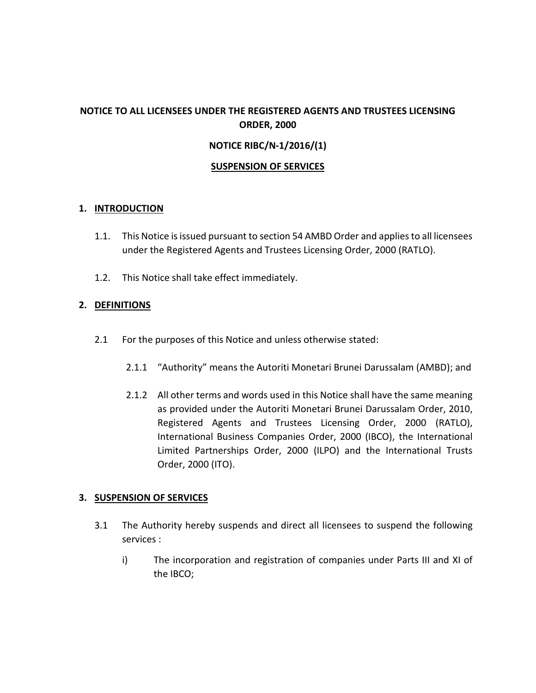# **NOTICE TO ALL LICENSEES UNDER THE REGISTERED AGENTS AND TRUSTEES LICENSING ORDER, 2000**

## **NOTICE RIBC/N-1/2016/(1)**

## **SUSPENSION OF SERVICES**

## **1. INTRODUCTION**

- 1.1. This Notice is issued pursuant to section 54 AMBD Order and applies to all licensees under the Registered Agents and Trustees Licensing Order, 2000 (RATLO).
- 1.2. This Notice shall take effect immediately.

## **2. DEFINITIONS**

- 2.1 For the purposes of this Notice and unless otherwise stated:
	- 2.1.1 "Authority" means the Autoriti Monetari Brunei Darussalam (AMBD); and
	- 2.1.2 All other terms and words used in this Notice shall have the same meaning as provided under the Autoriti Monetari Brunei Darussalam Order, 2010, Registered Agents and Trustees Licensing Order, 2000 (RATLO), International Business Companies Order, 2000 (IBCO), the International Limited Partnerships Order, 2000 (ILPO) and the International Trusts Order, 2000 (ITO).

## **3. SUSPENSION OF SERVICES**

- 3.1 The Authority hereby suspends and direct all licensees to suspend the following services :
	- i) The incorporation and registration of companies under Parts III and XI of the IBCO;